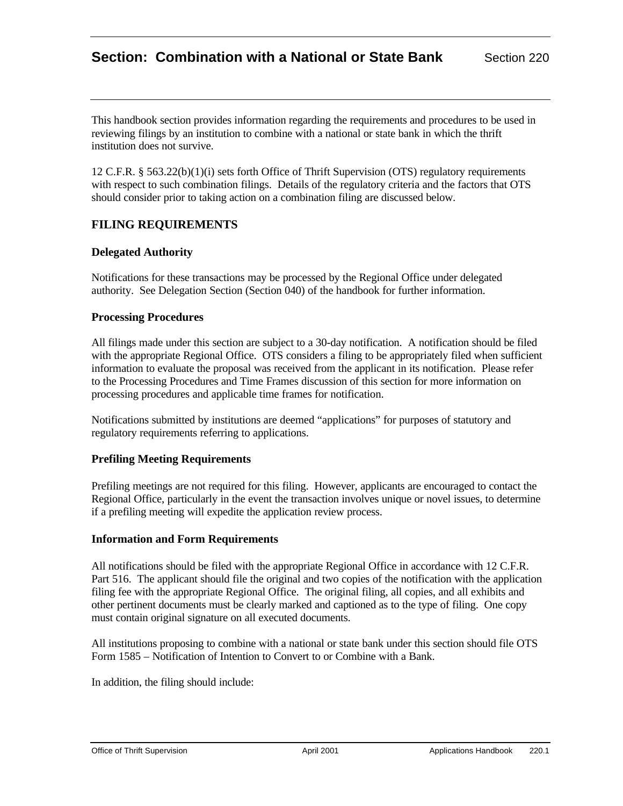# **Section: Combination with a National or State Bank** Section 220

This handbook section provides information regarding the requirements and procedures to be used in reviewing filings by an institution to combine with a national or state bank in which the thrift institution does not survive.

12 C.F.R. § 563.22(b)(1)(i) sets forth Office of Thrift Supervision (OTS) regulatory requirements with respect to such combination filings. Details of the regulatory criteria and the factors that OTS should consider prior to taking action on a combination filing are discussed below.

# **FILING REQUIREMENTS**

### **Delegated Authority**

Notifications for these transactions may be processed by the Regional Office under delegated authority. See Delegation Section (Section 040) of the handbook for further information.

### **Processing Procedures**

All filings made under this section are subject to a 30-day notification. A notification should be filed with the appropriate Regional Office. OTS considers a filing to be appropriately filed when sufficient information to evaluate the proposal was received from the applicant in its notification. Please refer to the Processing Procedures and Time Frames discussion of this section for more information on processing procedures and applicable time frames for notification.

Notifications submitted by institutions are deemed "applications" for purposes of statutory and regulatory requirements referring to applications.

### **Prefiling Meeting Requirements**

Prefiling meetings are not required for this filing. However, applicants are encouraged to contact the Regional Office, particularly in the event the transaction involves unique or novel issues, to determine if a prefiling meeting will expedite the application review process.

### **Information and Form Requirements**

All notifications should be filed with the appropriate Regional Office in accordance with 12 C.F.R. Part 516. The applicant should file the original and two copies of the notification with the application filing fee with the appropriate Regional Office. The original filing, all copies, and all exhibits and other pertinent documents must be clearly marked and captioned as to the type of filing. One copy must contain original signature on all executed documents.

All institutions proposing to combine with a national or state bank under this section should file OTS Form 1585 – Notification of Intention to Convert to or Combine with a Bank.

In addition, the filing should include: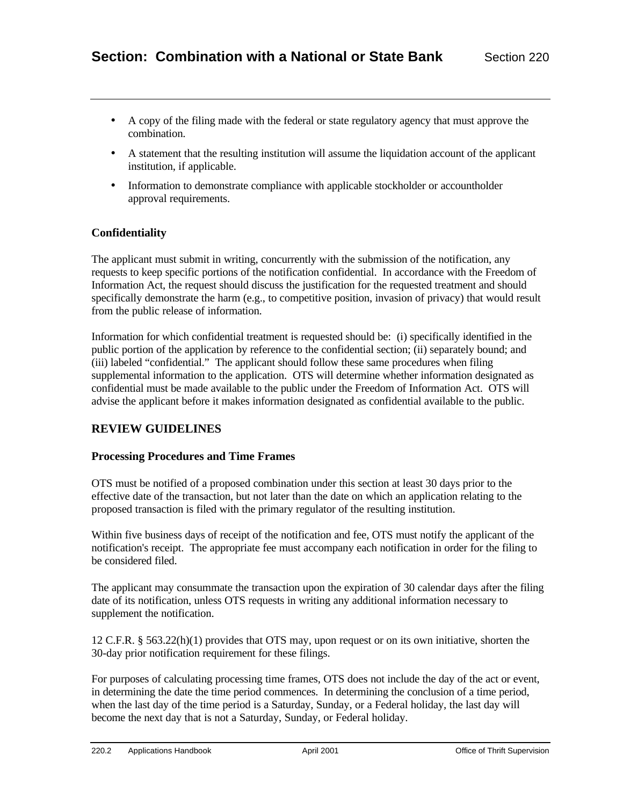- A copy of the filing made with the federal or state regulatory agency that must approve the combination.
- A statement that the resulting institution will assume the liquidation account of the applicant institution, if applicable.
- Information to demonstrate compliance with applicable stockholder or accountholder approval requirements.

# **Confidentiality**

The applicant must submit in writing, concurrently with the submission of the notification, any requests to keep specific portions of the notification confidential. In accordance with the Freedom of Information Act, the request should discuss the justification for the requested treatment and should specifically demonstrate the harm (e.g., to competitive position, invasion of privacy) that would result from the public release of information.

Information for which confidential treatment is requested should be: (i) specifically identified in the public portion of the application by reference to the confidential section; (ii) separately bound; and (iii) labeled "confidential." The applicant should follow these same procedures when filing supplemental information to the application. OTS will determine whether information designated as confidential must be made available to the public under the Freedom of Information Act. OTS will advise the applicant before it makes information designated as confidential available to the public.

# **REVIEW GUIDELINES**

# **Processing Procedures and Time Frames**

OTS must be notified of a proposed combination under this section at least 30 days prior to the effective date of the transaction, but not later than the date on which an application relating to the proposed transaction is filed with the primary regulator of the resulting institution.

Within five business days of receipt of the notification and fee, OTS must notify the applicant of the notification's receipt. The appropriate fee must accompany each notification in order for the filing to be considered filed.

The applicant may consummate the transaction upon the expiration of 30 calendar days after the filing date of its notification, unless OTS requests in writing any additional information necessary to supplement the notification.

12 C.F.R. § 563.22(h)(1) provides that OTS may, upon request or on its own initiative, shorten the 30-day prior notification requirement for these filings.

For purposes of calculating processing time frames, OTS does not include the day of the act or event, in determining the date the time period commences. In determining the conclusion of a time period, when the last day of the time period is a Saturday, Sunday, or a Federal holiday, the last day will become the next day that is not a Saturday, Sunday, or Federal holiday.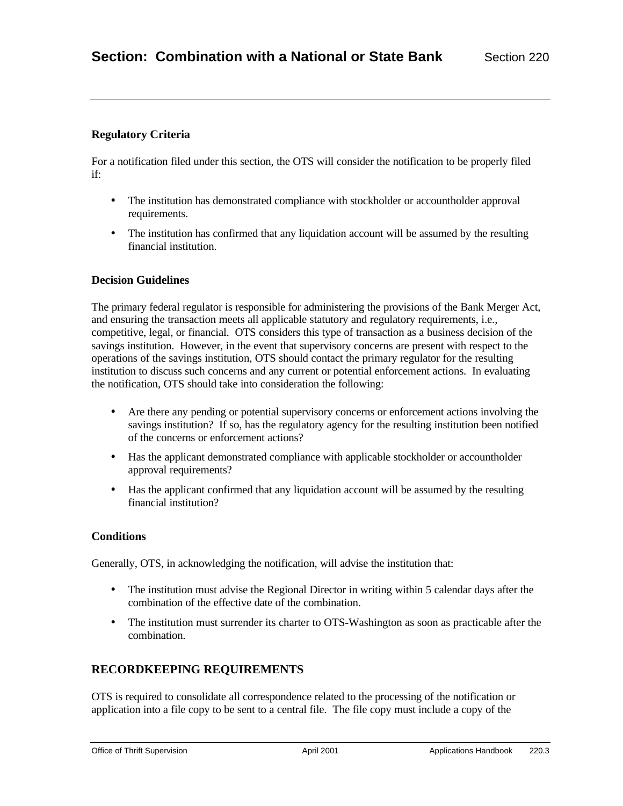# **Regulatory Criteria**

For a notification filed under this section, the OTS will consider the notification to be properly filed if:

- The institution has demonstrated compliance with stockholder or accountholder approval requirements.
- The institution has confirmed that any liquidation account will be assumed by the resulting financial institution.

### **Decision Guidelines**

The primary federal regulator is responsible for administering the provisions of the Bank Merger Act, and ensuring the transaction meets all applicable statutory and regulatory requirements, i.e., competitive, legal, or financial. OTS considers this type of transaction as a business decision of the savings institution. However, in the event that supervisory concerns are present with respect to the operations of the savings institution, OTS should contact the primary regulator for the resulting institution to discuss such concerns and any current or potential enforcement actions. In evaluating the notification, OTS should take into consideration the following:

- Are there any pending or potential supervisory concerns or enforcement actions involving the savings institution? If so, has the regulatory agency for the resulting institution been notified of the concerns or enforcement actions?
- Has the applicant demonstrated compliance with applicable stockholder or accountholder approval requirements?
- Has the applicant confirmed that any liquidation account will be assumed by the resulting financial institution?

### **Conditions**

Generally, OTS, in acknowledging the notification, will advise the institution that:

- The institution must advise the Regional Director in writing within 5 calendar days after the combination of the effective date of the combination.
- The institution must surrender its charter to OTS-Washington as soon as practicable after the combination.

# **RECORDKEEPING REQUIREMENTS**

OTS is required to consolidate all correspondence related to the processing of the notification or application into a file copy to be sent to a central file. The file copy must include a copy of the